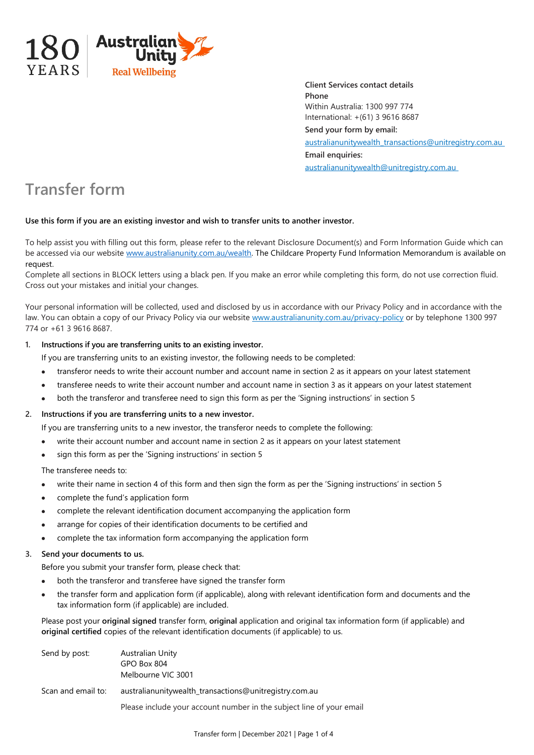

**Client Services contact details Phone** Within Australia: 1300 997 774 International: +(61) 3 9616 8687 **Send your form by email:**  australianunitywealth\_transactions@unitregistry.com.au **Email enquiries:** australianunitywealth@unitregistry.com.au

# **Transfer form**

### **Use this form if you are an existing investor and wish to transfer units to another investor.**

To help assist you with filling out this form, please refer to the relevant Disclosure Document(s) and Form Information Guide which can be accessed via our websit[e www.australianunity.com.au/wealth.](http://www.australianunity.com.au/wealth) The Childcare Property Fund Information Memorandum is available on request.

Complete all sections in BLOCK letters using a black pen. If you make an error while completing this form, do not use correction fluid. Cross out your mistakes and initial your changes.

Your personal information will be collected, used and disclosed by us in accordance with our Privacy Policy and in accordance with the law. You can obtain a copy of our Privacy Policy via our website www.australianunity.com.au/privacy-policy or by telephone 1300 997 774 or +61 3 9616 8687.

### **1. Instructions if you are transferring units to an existing investor.**

- If you are transferring units to an existing investor, the following needs to be completed:
- transferor needs to write their account number and account name in section 2 as it appears on your latest statement
- transferee needs to write their account number and account name in section 3 as it appears on your latest statement
- both the transferor and transferee need to sign this form as per the 'Signing instructions' in section 5

## **2. Instructions if you are transferring units to a new investor.**

If you are transferring units to a new investor, the transferor needs to complete the following:

- write their account number and account name in section 2 as it appears on your latest statement
- sign this form as per the 'Signing instructions' in section 5

The transferee needs to:

- write their name in section 4 of this form and then sign the form as per the 'Signing instructions' in section 5
- complete the fund's application form
- complete the relevant identification document accompanying the application form
- arrange for copies of their identification documents to be certified and
- complete the tax information form accompanying the application form

#### **3. Send your documents to us.**

Before you submit your transfer form, please check that:

- both the transferor and transferee have signed the transfer form
- the transfer form and application form (if applicable), along with relevant identification form and documents and the tax information form (if applicable) are included.

Please post your **original signed** transfer form, **original** application and original tax information form (if applicable) and **original certified** copies of the relevant identification documents (if applicable) to us.

| Send by post:      | Australian Unity<br>GPO Box 804<br>Melbourne VIC 3001                |
|--------------------|----------------------------------------------------------------------|
| Scan and email to: | australianunitywealth_transactions@unitregistry.com.au               |
|                    | Please include your account number in the subject line of your email |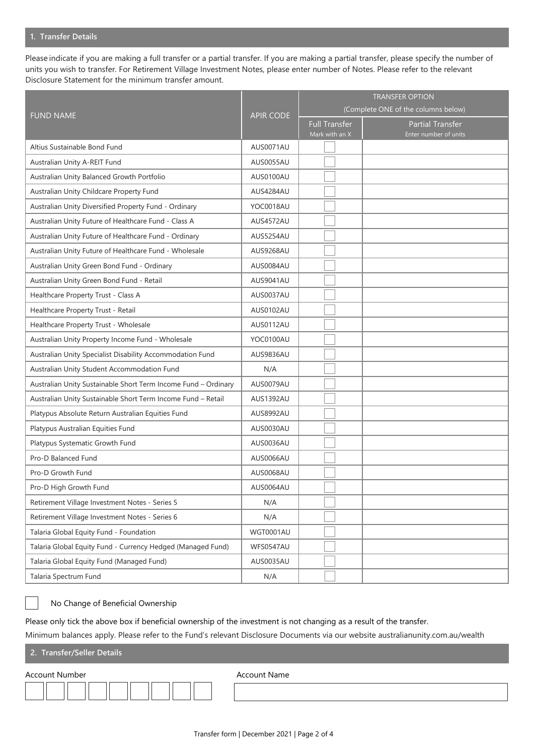#### **1. Transfer Details**

Please indicate if you are making a full transfer or a partial transfer. If you are making a partial transfer, please specify the number of units you wish to transfer. For Retirement Village Investment Notes, please enter number of Notes. Please refer to the relevant Disclosure Statement for the minimum transfer amount.

|                                                                | <b>APIR CODE</b> | <b>TRANSFER OPTION</b>                 |                                                  |
|----------------------------------------------------------------|------------------|----------------------------------------|--------------------------------------------------|
| <b>FUND NAME</b>                                               |                  | (Complete ONE of the columns below)    |                                                  |
|                                                                |                  | <b>Full Transfer</b><br>Mark with an X | <b>Partial Transfer</b><br>Enter number of units |
| Altius Sustainable Bond Fund                                   | AUS0071AU        |                                        |                                                  |
| Australian Unity A-REIT Fund                                   | AUS0055AU        |                                        |                                                  |
| Australian Unity Balanced Growth Portfolio                     | AUS0100AU        |                                        |                                                  |
| Australian Unity Childcare Property Fund                       | AUS4284AU        |                                        |                                                  |
| Australian Unity Diversified Property Fund - Ordinary          | YOC0018AU        |                                        |                                                  |
| Australian Unity Future of Healthcare Fund - Class A           | AUS4572AU        |                                        |                                                  |
| Australian Unity Future of Healthcare Fund - Ordinary          | AUS5254AU        |                                        |                                                  |
| Australian Unity Future of Healthcare Fund - Wholesale         | AUS9268AU        |                                        |                                                  |
| Australian Unity Green Bond Fund - Ordinary                    | AUS0084AU        |                                        |                                                  |
| Australian Unity Green Bond Fund - Retail                      | AUS9041AU        |                                        |                                                  |
| Healthcare Property Trust - Class A                            | AUS0037AU        |                                        |                                                  |
| Healthcare Property Trust - Retail                             | AUS0102AU        |                                        |                                                  |
| Healthcare Property Trust - Wholesale                          | AUS0112AU        |                                        |                                                  |
| Australian Unity Property Income Fund - Wholesale              | YOC0100AU        |                                        |                                                  |
| Australian Unity Specialist Disability Accommodation Fund      | AUS9836AU        |                                        |                                                  |
| Australian Unity Student Accommodation Fund                    | N/A              |                                        |                                                  |
| Australian Unity Sustainable Short Term Income Fund - Ordinary | AUS0079AU        |                                        |                                                  |
| Australian Unity Sustainable Short Term Income Fund - Retail   | AUS1392AU        |                                        |                                                  |
| Platypus Absolute Return Australian Equities Fund              | AUS8992AU        |                                        |                                                  |
| Platypus Australian Equities Fund                              | AUS0030AU        |                                        |                                                  |
| Platypus Systematic Growth Fund                                | AUS0036AU        |                                        |                                                  |
| Pro-D Balanced Fund                                            | AUS0066AU        |                                        |                                                  |
| Pro-D Growth Fund                                              | AUS0068AU        |                                        |                                                  |
| Pro-D High Growth Fund                                         | AUS0064AU        |                                        |                                                  |
| Retirement Village Investment Notes - Series 5                 | N/A              |                                        |                                                  |
| Retirement Village Investment Notes - Series 6                 | N/A              |                                        |                                                  |
| Talaria Global Equity Fund - Foundation                        | WGT0001AU        |                                        |                                                  |
| Talaria Global Equity Fund - Currency Hedged (Managed Fund)    | WFS0547AU        |                                        |                                                  |
| Talaria Global Equity Fund (Managed Fund)                      | AUS0035AU        |                                        |                                                  |
| Talaria Spectrum Fund                                          | N/A              |                                        |                                                  |

## No Change of Beneficial Ownership

Please only tick the above box if beneficial ownership of the investment is not changing as a result of the transfer.

Minimum balances apply. Please refer to the Fund's relevant Disclosure Documents via our website australianunity.com.au/wealth

**2. Transfer/Seller Details**

Account Name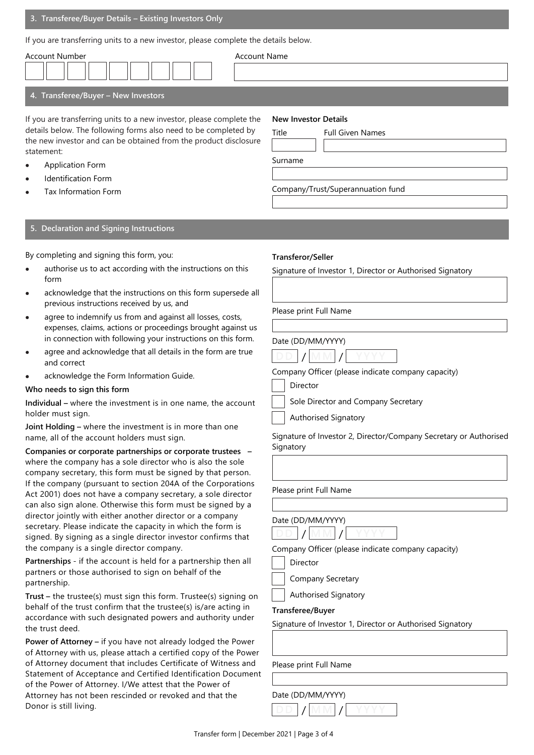If you are transferring units to a new investor, please complete the details below.

| Account Number                                                                                                                                                                                                            | <b>Account Name</b>                                             |  |  |  |  |
|---------------------------------------------------------------------------------------------------------------------------------------------------------------------------------------------------------------------------|-----------------------------------------------------------------|--|--|--|--|
| 4. Transferee/Buyer - New Investors                                                                                                                                                                                       |                                                                 |  |  |  |  |
| If you are transferring units to a new investor, please complete the<br>details below. The following forms also need to be completed by<br>the new investor and can be obtained from the product disclosure<br>statement: | <b>New Investor Details</b><br>Title<br><b>Full Given Names</b> |  |  |  |  |
| <b>Application Form</b><br>$\bullet$                                                                                                                                                                                      | Surname                                                         |  |  |  |  |

- Identification Form
- Tax Information Form

## **5. Declaration and Signing Instructions**

By completing and signing this form, you:

- authorise us to act according with the instructions on this form
- acknowledge that the instructions on this form supersede all previous instructions received by us, and
- agree to indemnify us from and against all losses, costs, expenses, claims, actions or proceedings brought against us in connection with following your instructions on this form.
- agree and acknowledge that all details in the form are true and correct
- acknowledge the Form Information Guide.

#### **Who needs to sign this form**

**Individual –** where the investment is in one name, the account holder must sign.

**Joint Holding –** where the investment is in more than one name, all of the account holders must sign.

**Companies or corporate partnerships or corporate trustees –** where the company has a sole director who is also the sole company secretary, this form must be signed by that person. If the company (pursuant to section 204A of the Corporations Act 2001) does not have a company secretary, a sole director can also sign alone. Otherwise this form must be signed by a director jointly with either another director or a company secretary. Please indicate the capacity in which the form is signed. By signing as a single director investor confirms that the company is a single director company.

**Partnerships** - if the account is held for a partnership then all partners or those authorised to sign on behalf of the partnership.

**Trust –** the trustee(s) must sign this form. Trustee(s) signing on behalf of the trust confirm that the trustee(s) is/are acting in accordance with such designated powers and authority under the trust deed.

**Power of Attorney –** if you have not already lodged the Power of Attorney with us, please attach a certified copy of the Power of Attorney document that includes Certificate of Witness and Statement of Acceptance and Certified Identification Document of the Power of Attorney. I/We attest that the Power of Attorney has not been rescinded or revoked and that the Donor is still living.

#### **Transferor/Seller**

Signature of Investor 1, Director or Authorised Signatory

Please print Full Name

Date (DD/MM/YYYY)



Company/Trust/Superannuation fund

Company Officer (please indicate company capacity)

Director

Sole Director and Company Secretary

Authorised Signatory

Signature of Investor 2, Director/Company Secretary or Authorised **Signatory** 

Please print Full Name



Company Officer (please indicate company capacity)

Director

Company Secretary

Authorised Signatory

#### **Transferee/Buyer**

Signature of Investor 1, Director or Authorised Signatory

Please print Full Name